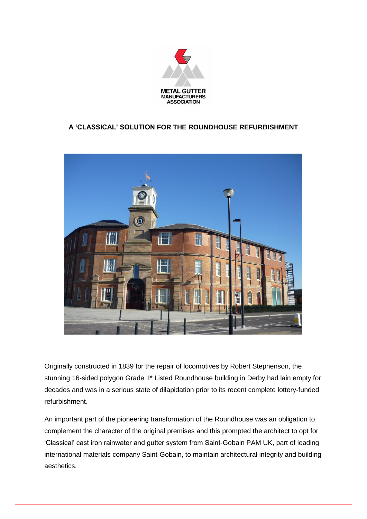

## **A 'CLASSICAL' SOLUTION FOR THE ROUNDHOUSE REFURBISHMENT**



Originally constructed in 1839 for the repair of locomotives by Robert Stephenson, the stunning 16-sided polygon Grade II\* Listed Roundhouse building in Derby had lain empty for decades and was in a serious state of dilapidation prior to its recent complete lottery-funded refurbishment.

An important part of the pioneering transformation of the Roundhouse was an obligation to complement the character of the original premises and this prompted the architect to opt for 'Classical' cast iron rainwater and gutter system from Saint-Gobain PAM UK, part of leading international materials company Saint-Gobain, to maintain architectural integrity and building aesthetics.